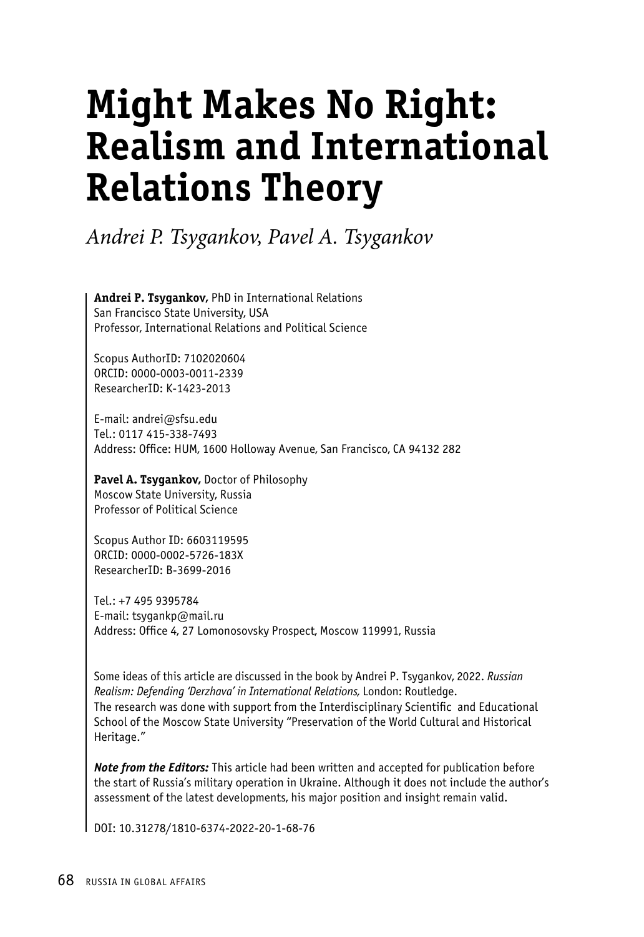# **Might Makes No Right: Realism and International Relations Theory**

*Andrei P. Tsygankov, Pavel A. Tsygankov*

**Andrei P. Tsygankov,** PhD in International Relations San Francisco State University, USA Professor, International Relations and Political Science

Scopus AuthorID: 7102020604 ORCID: 0000-0003-0011-2339 ResearcherID: K-1423-2013

E-mail: andrei@sfsu.edu Tel.: 0117 415-338-7493 Address: Office: HUM, 1600 Holloway Avenue, San Francisco, CA 94132 282

**Pavel A. Tsygankov,** Doctor of Philosophy Moscow State University, Russia Professor оf Political Science

Scopus Author ID: 6603119595 ORCID: 0000-0002-5726-183X ResearcherID: B-3699-2016

Tel.: +7 495 9395784 E-mail: tsygankp@mail.ru Address: Office 4, 27 Lomonosovsky Prospect, Moscow 119991, Russia

Some ideas of this article are discussed in the book by Andrei P. Tsygankov, 2022. *Russian Realism: Defending 'Derzhava' in International Relations,* London: Routledge. The research was done with support from the Interdisciplinary Scientific and Educational School of the Moscow State University "Preservation of the World Cultural and Historical Heritage."

*Note from the Editors:* This article had been written and accepted for publication before the start of Russia's military operation in Ukraine. Although it does not include the author's assessment of the latest developments, his major position and insight remain valid.

DOI: 10.31278/1810-6374-2022-20-1-68-76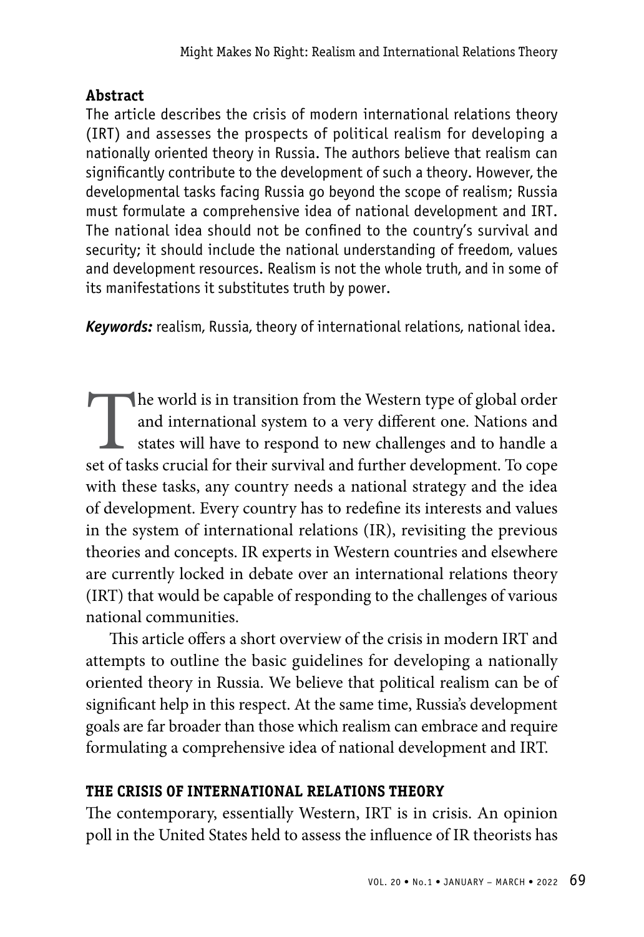### **Abstract**

The article describes the crisis of modern international relations theory (IRT) and assesses the prospects of political realism for developing a nationally oriented theory in Russia. The authors believe that realism can significantly contribute to the development of such a theory. However, the developmental tasks facing Russia go beyond the scope of realism; Russia must formulate a comprehensive idea of national development and IRT. The national idea should not be confined to the country's survival and security; it should include the national understanding of freedom, values and development resources. Realism is not the whole truth, and in some of its manifestations it substitutes truth by power.

*Keywords:* realism, Russia, theory of international relations, national idea.

The world is in transition from the Western type of global order and international system to a very different one. Nations and states will have to respond to new challenges and to handle a set of tasks crucial for their su and international system to a very different one. Nations and states will have to respond to new challenges and to handle a with these tasks, any country needs a national strategy and the idea of development. Every country has to redefine its interests and values in the system of international relations (IR), revisiting the previous theories and concepts. IR experts in Western countries and elsewhere are currently locked in debate over an international relations theory (IRT) that would be capable of responding to the challenges of various national communities.

This article offers a short overview of the crisis in modern IRT and attempts to outline the basic guidelines for developing a nationally oriented theory in Russia. We believe that political realism can be of significant help in this respect. At the same time, Russia's development goals are far broader than those which realism can embrace and require formulating a comprehensive idea of national development and IRT.

## **THE CRISIS OF INTERNATIONAL RELATIONS THEORY**

The contemporary, essentially Western, IRT is in crisis. An opinion poll in the United States held to assess the influence of IR theorists has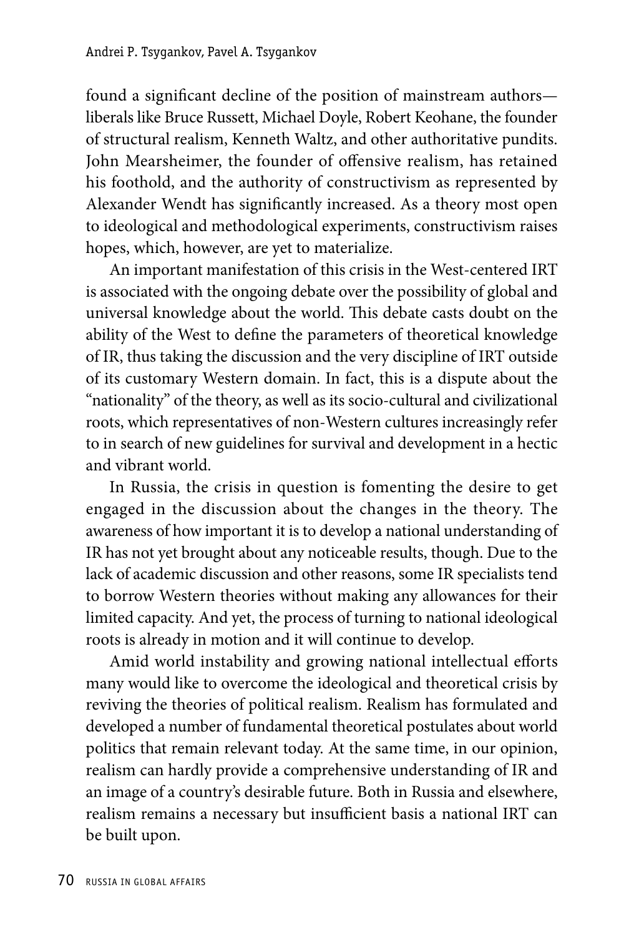found a significant decline of the position of mainstream authors liberals like Bruce Russett, Michael Doyle, Robert Keohane, the founder of structural realism, Kenneth Waltz, and other authoritative pundits. John Mearsheimer, the founder of offensive realism, has retained his foothold, and the authority of constructivism as represented by Alexander Wendt has significantly increased. As a theory most open to ideological and methodological experiments, constructivism raises hopes, which, however, are yet to materialize.

An important manifestation of this crisis in the West-centered IRT is associated with the ongoing debate over the possibility of global and universal knowledge about the world. This debate casts doubt on the ability of the West to define the parameters of theoretical knowledge of IR, thus taking the discussion and the very discipline of IRT outside of its customary Western domain. In fact, this is a dispute about the "nationality" of the theory, as well as its socio-cultural and civilizational roots, which representatives of non-Western cultures increasingly refer to in search of new guidelines for survival and development in a hectic and vibrant world.

In Russia, the crisis in question is fomenting the desire to get engaged in the discussion about the changes in the theory. The awareness of how important it is to develop a national understanding of IR has not yet brought about any noticeable results, though. Due to the lack of academic discussion and other reasons, some IR specialists tend to borrow Western theories without making any allowances for their limited capacity. And yet, the process of turning to national ideological roots is already in motion and it will continue to develop.

Amid world instability and growing national intellectual efforts many would like to overcome the ideological and theoretical crisis by reviving the theories of political realism. Realism has formulated and developed a number of fundamental theoretical postulates about world politics that remain relevant today. At the same time, in our opinion, realism can hardly provide a comprehensive understanding of IR and an image of a country's desirable future. Both in Russia and elsewhere, realism remains a necessary but insufficient basis a national IRT can be built upon.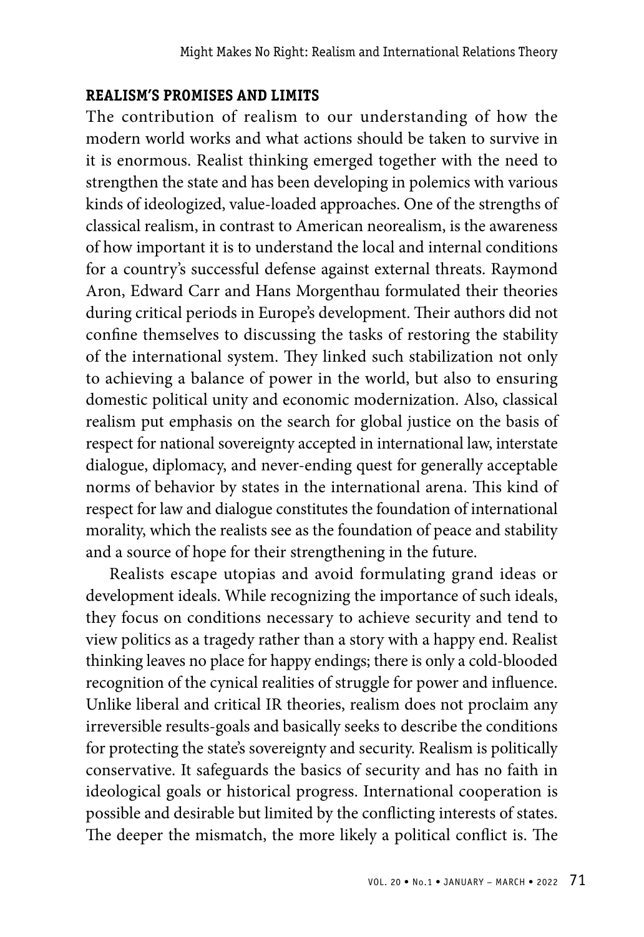#### **REALISM'S PROMISES AND LIMITS**

The contribution of realism to our understanding of how the modern world works and what actions should be taken to survive in it is enormous. Realist thinking emerged together with the need to strengthen the state and has been developing in polemics with various kinds of ideologized, value-loaded approaches. One of the strengths of classical realism, in contrast to American neorealism, is the awareness of how important it is to understand the local and internal conditions for a country's successful defense against external threats. Raymond Aron, Edward Carr and Hans Morgenthau formulated their theories during critical periods in Europe's development. Their authors did not confine themselves to discussing the tasks of restoring the stability of the international system. They linked such stabilization not only to achieving a balance of power in the world, but also to ensuring domestic political unity and economic modernization. Also, classical realism put emphasis on the search for global justice on the basis of respect for national sovereignty accepted in international law, interstate dialogue, diplomacy, and never-ending quest for generally acceptable norms of behavior by states in the international arena. This kind of respect for law and dialogue constitutes the foundation of international morality, which the realists see as the foundation of peace and stability and a source of hope for their strengthening in the future.

Realists escape utopias and avoid formulating grand ideas or development ideals. While recognizing the importance of such ideals, they focus on conditions necessary to achieve security and tend to view politics as a tragedy rather than a story with a happy end. Realist thinking leaves no place for happy endings; there is only a cold-blooded recognition of the cynical realities of struggle for power and influence. Unlike liberal and critical IR theories, realism does not proclaim any irreversible results-goals and basically seeks to describe the conditions for protecting the state's sovereignty and security. Realism is politically conservative. It safeguards the basics of security and has no faith in ideological goals or historical progress. International cooperation is possible and desirable but limited by the conflicting interests of states. The deeper the mismatch, the more likely a political conflict is. The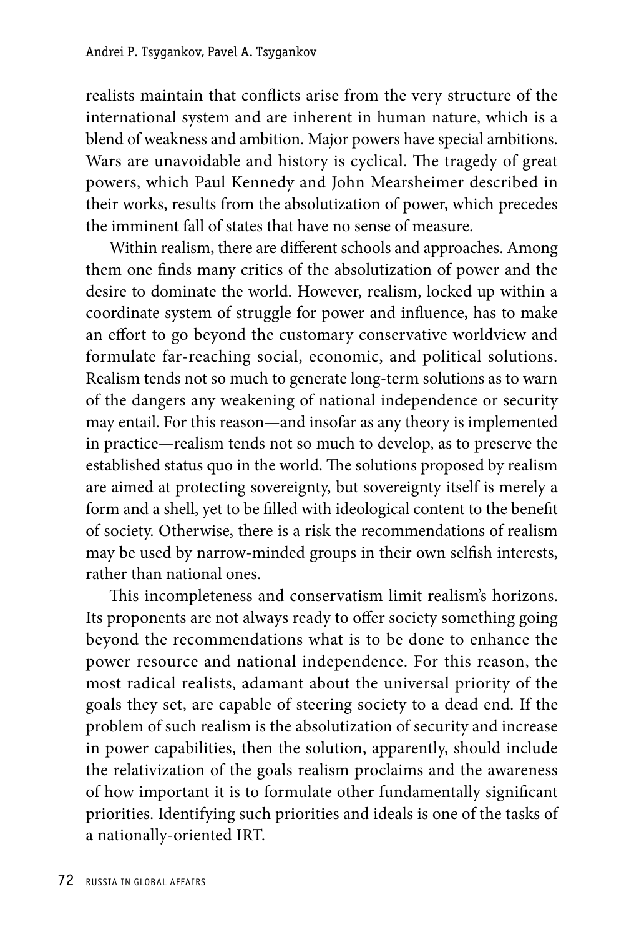realists maintain that conflicts arise from the very structure of the international system and are inherent in human nature, which is a blend of weakness and ambition. Major powers have special ambitions. Wars are unavoidable and history is cyclical. The tragedy of great powers, which Paul Kennedy and John Mearsheimer described in their works, results from the absolutization of power, which precedes the imminent fall of states that have no sense of measure.

Within realism, there are different schools and approaches. Among them one finds many critics of the absolutization of power and the desire to dominate the world. However, realism, locked up within a coordinate system of struggle for power and influence, has to make an effort to go beyond the customary conservative worldview and formulate far-reaching social, economic, and political solutions. Realism tends not so much to generate long-term solutions as to warn of the dangers any weakening of national independence or security may entail. For this reason—and insofar as any theory is implemented in practice—realism tends not so much to develop, as to preserve the established status quo in the world. The solutions proposed by realism are aimed at protecting sovereignty, but sovereignty itself is merely a form and a shell, yet to be filled with ideological content to the benefit of society. Otherwise, there is a risk the recommendations of realism may be used by narrow-minded groups in their own selfish interests, rather than national ones.

This incompleteness and conservatism limit realism's horizons. Its proponents are not always ready to offer society something going beyond the recommendations what is to be done to enhance the power resource and national independence. For this reason, the most radical realists, adamant about the universal priority of the goals they set, are capable of steering society to a dead end. If the problem of such realism is the absolutization of security and increase in power capabilities, then the solution, apparently, should include the relativization of the goals realism proclaims and the awareness of how important it is to formulate other fundamentally significant priorities. Identifying such priorities and ideals is one of the tasks of a nationally-oriented IRT.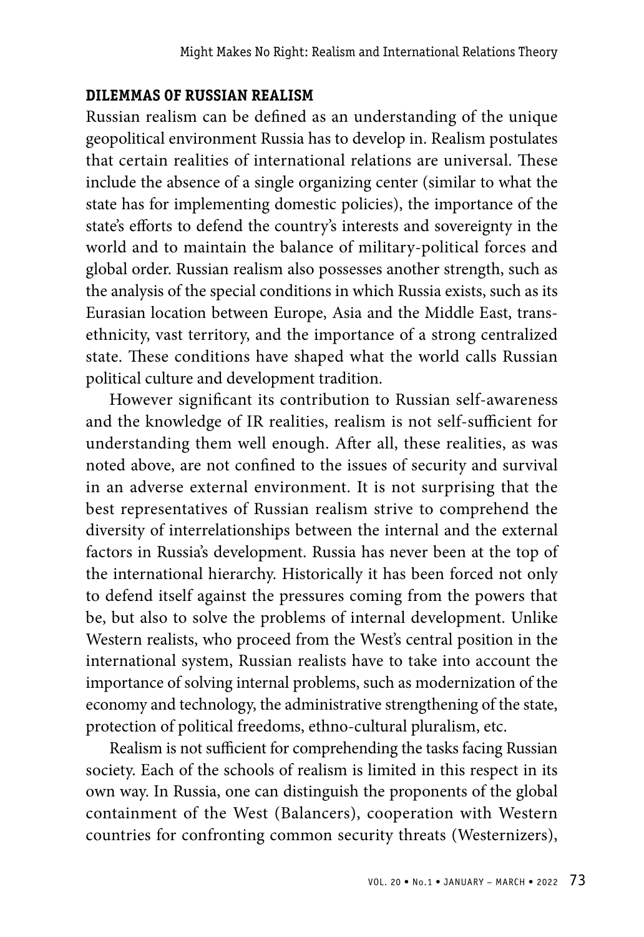#### **DILEMMAS OF RUSSIAN REALISM**

Russian realism can be defined as an understanding of the unique geopolitical environment Russia has to develop in. Realism postulates that certain realities of international relations are universal. These include the absence of a single organizing center (similar to what the state has for implementing domestic policies), the importance of the state's efforts to defend the country's interests and sovereignty in the world and to maintain the balance of military-political forces and global order. Russian realism also possesses another strength, such as the analysis of the special conditions in which Russia exists, such as its Eurasian location between Europe, Asia and the Middle East, transethnicity, vast territory, and the importance of a strong centralized state. These conditions have shaped what the world calls Russian political culture and development tradition.

However significant its contribution to Russian self-awareness and the knowledge of IR realities, realism is not self-sufficient for understanding them well enough. After all, these realities, as was noted above, are not confined to the issues of security and survival in an adverse external environment. It is not surprising that the best representatives of Russian realism strive to comprehend the diversity of interrelationships between the internal and the external factors in Russia's development. Russia has never been at the top of the international hierarchy. Historically it has been forced not only to defend itself against the pressures coming from the powers that be, but also to solve the problems of internal development. Unlike Western realists, who proceed from the West's central position in the international system, Russian realists have to take into account the importance of solving internal problems, such as modernization of the economy and technology, the administrative strengthening of the state, protection of political freedoms, ethno-cultural pluralism, etc.

Realism is not sufficient for comprehending the tasks facing Russian society. Each of the schools of realism is limited in this respect in its own way. In Russia, one can distinguish the proponents of the global containment of the West (Balancers), cooperation with Western countries for confronting common security threats (Westernizers),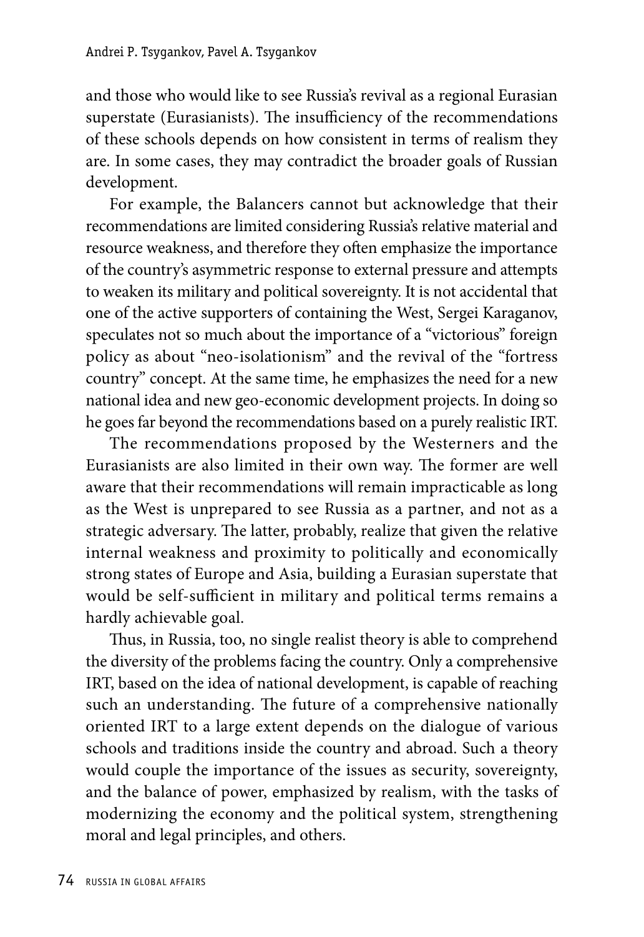and those who would like to see Russia's revival as a regional Eurasian superstate (Eurasianists). The insufficiency of the recommendations of these schools depends on how consistent in terms of realism they are. In some cases, they may contradict the broader goals of Russian development.

For example, the Balancers cannot but acknowledge that their recommendations are limited considering Russia's relative material and resource weakness, and therefore they often emphasize the importance of the country's asymmetric response to external pressure and attempts to weaken its military and political sovereignty. It is not accidental that one of the active supporters of containing the West, Sergei Karaganov, speculates not so much about the importance of a "victorious" foreign policy as about "neo-isolationism" and the revival of the "fortress country" concept. At the same time, he emphasizes the need for a new national idea and new geo-economic development projects. In doing so he goes far beyond the recommendations based on a purely realistic IRT.

The recommendations proposed by the Westerners and the Eurasianists are also limited in their own way. The former are well aware that their recommendations will remain impracticable as long as the West is unprepared to see Russia as a partner, and not as a strategic adversary. The latter, probably, realize that given the relative internal weakness and proximity to politically and economically strong states of Europe and Asia, building a Eurasian superstate that would be self-sufficient in military and political terms remains a hardly achievable goal.

Thus, in Russia, too, no single realist theory is able to comprehend the diversity of the problems facing the country. Only a comprehensive IRT, based on the idea of national development, is capable of reaching such an understanding. The future of a comprehensive nationally oriented IRT to a large extent depends on the dialogue of various schools and traditions inside the country and abroad. Such a theory would couple the importance of the issues as security, sovereignty, and the balance of power, emphasized by realism, with the tasks of modernizing the economy and the political system, strengthening moral and legal principles, and others.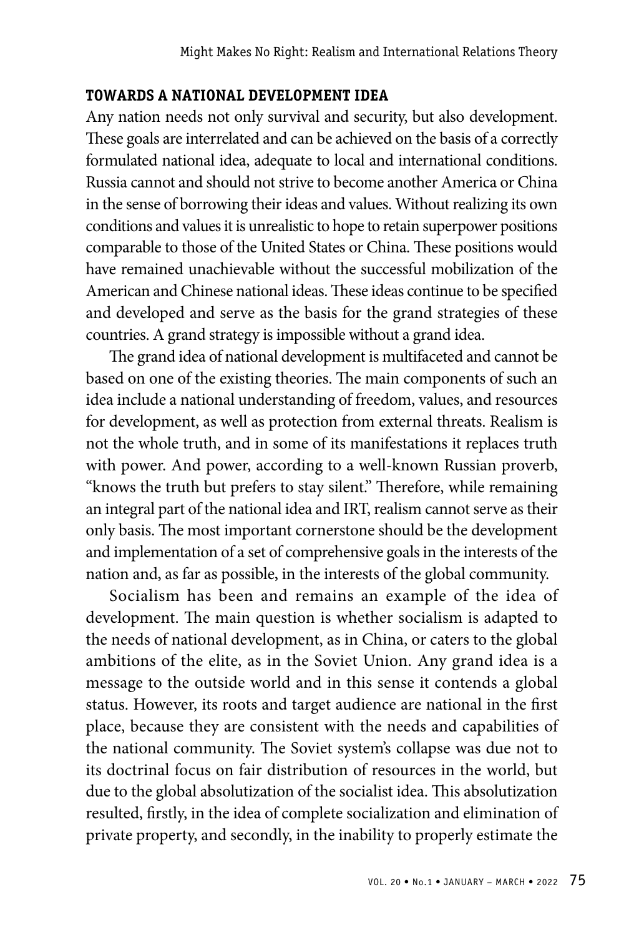#### **TOWARDS A NATIONAL DEVELOPMENT IDEA**

Any nation needs not only survival and security, but also development. These goals are interrelated and can be achieved on the basis of a correctly formulated national idea, adequate to local and international conditions. Russia cannot and should not strive to become another America or China in the sense of borrowing their ideas and values. Without realizing its own conditions and values it is unrealistic to hope to retain superpower positions comparable to those of the United States or China. These positions would have remained unachievable without the successful mobilization of the American and Chinese national ideas. These ideas continue to be specified and developed and serve as the basis for the grand strategies of these countries. A grand strategy is impossible without a grand idea.

The grand idea of national development is multifaceted and cannot be based on one of the existing theories. The main components of such an idea include a national understanding of freedom, values, and resources for development, as well as protection from external threats. Realism is not the whole truth, and in some of its manifestations it replaces truth with power. And power, according to a well-known Russian proverb, "knows the truth but prefers to stay silent." Therefore, while remaining an integral part of the national idea and IRT, realism cannot serve as their only basis. The most important cornerstone should be the development and implementation of a set of comprehensive goals in the interests of the nation and, as far as possible, in the interests of the global community.

Socialism has been and remains an example of the idea of development. The main question is whether socialism is adapted to the needs of national development, as in China, or caters to the global ambitions of the elite, as in the Soviet Union. Any grand idea is a message to the outside world and in this sense it contends a global status. However, its roots and target audience are national in the first place, because they are consistent with the needs and capabilities of the national community. The Soviet system's collapse was due not to its doctrinal focus on fair distribution of resources in the world, but due to the global absolutization of the socialist idea. This absolutization resulted, firstly, in the idea of complete socialization and elimination of private property, and secondly, in the inability to properly estimate the